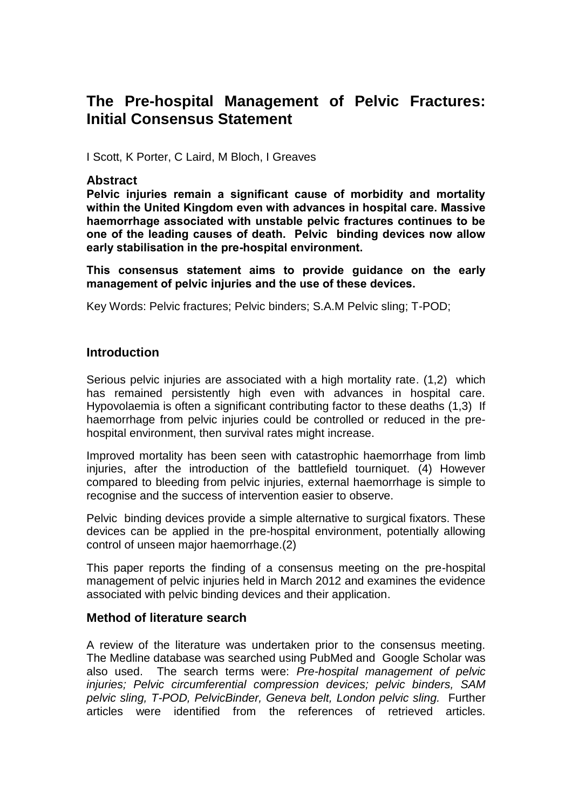# **The Pre-hospital Management of Pelvic Fractures: Initial Consensus Statement**

I Scott, K Porter, C Laird, M Bloch, I Greaves

#### **Abstract**

**Pelvic injuries remain a significant cause of morbidity and mortality within the United Kingdom even with advances in hospital care. Massive haemorrhage associated with unstable pelvic fractures continues to be one of the leading causes of death. Pelvic binding devices now allow early stabilisation in the pre-hospital environment.**

**This consensus statement aims to provide guidance on the early management of pelvic injuries and the use of these devices.**

Key Words: Pelvic fractures; Pelvic binders; S.A.M Pelvic sling; T-POD;

#### **Introduction**

Serious pelvic injuries are associated with a high mortality rate. (1,2) which has remained persistently high even with advances in hospital care. Hypovolaemia is often a significant contributing factor to these deaths (1,3) If haemorrhage from pelvic injuries could be controlled or reduced in the prehospital environment, then survival rates might increase.

Improved mortality has been seen with catastrophic haemorrhage from limb injuries, after the introduction of the battlefield tourniquet. (4) However compared to bleeding from pelvic injuries, external haemorrhage is simple to recognise and the success of intervention easier to observe.

Pelvic binding devices provide a simple alternative to surgical fixators. These devices can be applied in the pre-hospital environment, potentially allowing control of unseen major haemorrhage.(2)

This paper reports the finding of a consensus meeting on the pre-hospital management of pelvic injuries held in March 2012 and examines the evidence associated with pelvic binding devices and their application.

#### **Method of literature search**

A review of the literature was undertaken prior to the consensus meeting. The Medline database was searched using PubMed and Google Scholar was also used. The search terms were: *Pre-hospital management of pelvic injuries; Pelvic circumferential compression devices; pelvic binders, SAM pelvic sling, T-POD, PelvicBinder, Geneva belt, London pelvic sling.* Further articles were identified from the references of retrieved articles.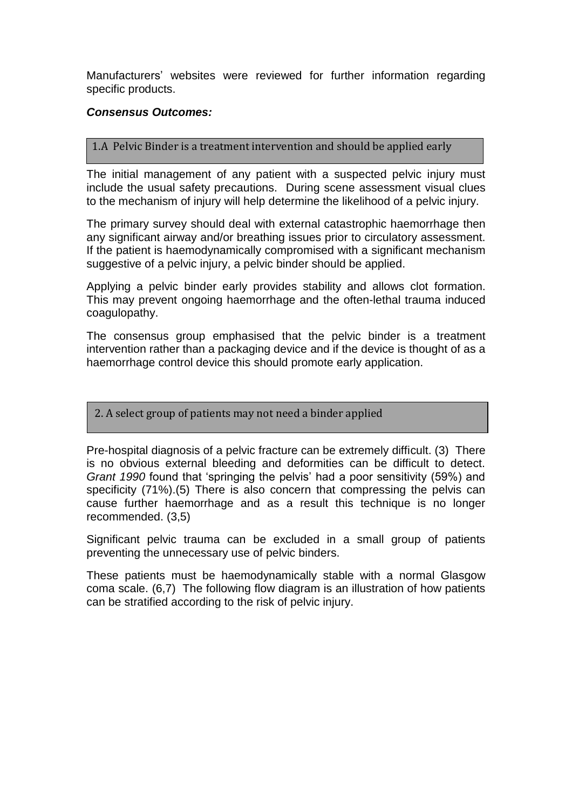Manufacturers' websites were reviewed for further information regarding specific products.

#### *Consensus Outcomes:*

#### 1.A Pelvic Binder is a treatment intervention and should be applied early

The initial management of any patient with a suspected pelvic injury must include the usual safety precautions. During scene assessment visual clues to the mechanism of injury will help determine the likelihood of a pelvic injury.

The primary survey should deal with external catastrophic haemorrhage then any significant airway and/or breathing issues prior to circulatory assessment. If the patient is haemodynamically compromised with a significant mechanism suggestive of a pelvic injury, a pelvic binder should be applied.

Applying a pelvic binder early provides stability and allows clot formation. This may prevent ongoing haemorrhage and the often-lethal trauma induced coagulopathy.

The consensus group emphasised that the pelvic binder is a treatment intervention rather than a packaging device and if the device is thought of as a haemorrhage control device this should promote early application.

2. A select group of patients may not need a binder applied

Pre-hospital diagnosis of a pelvic fracture can be extremely difficult. (3) There is no obvious external bleeding and deformities can be difficult to detect. *Grant 1990* found that 'springing the pelvis' had a poor sensitivity (59%) and specificity (71%).(5) There is also concern that compressing the pelvis can cause further haemorrhage and as a result this technique is no longer recommended. (3,5)

Significant pelvic trauma can be excluded in a small group of patients preventing the unnecessary use of pelvic binders.

These patients must be haemodynamically stable with a normal Glasgow coma scale. (6,7) The following flow diagram is an illustration of how patients can be stratified according to the risk of pelvic injury.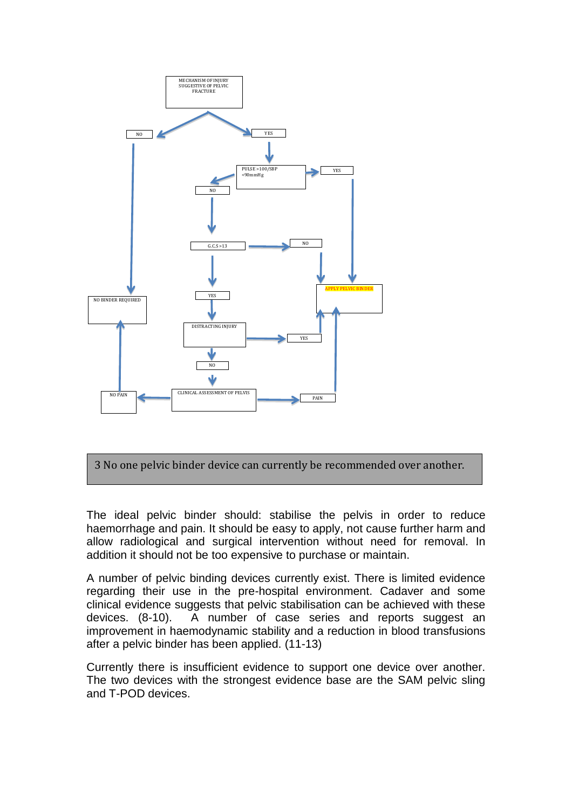

3 No one pelvic binder device can currently be recommended over another.

The ideal pelvic binder should: stabilise the pelvis in order to reduce haemorrhage and pain. It should be easy to apply, not cause further harm and allow radiological and surgical intervention without need for removal. In addition it should not be too expensive to purchase or maintain.

A number of pelvic binding devices currently exist. There is limited evidence regarding their use in the pre-hospital environment. Cadaver and some clinical evidence suggests that pelvic stabilisation can be achieved with these devices. (8-10). A number of case series and reports suggest an improvement in haemodynamic stability and a reduction in blood transfusions after a pelvic binder has been applied. (11-13)

Currently there is insufficient evidence to support one device over another. The two devices with the strongest evidence base are the SAM pelvic sling and T-POD devices.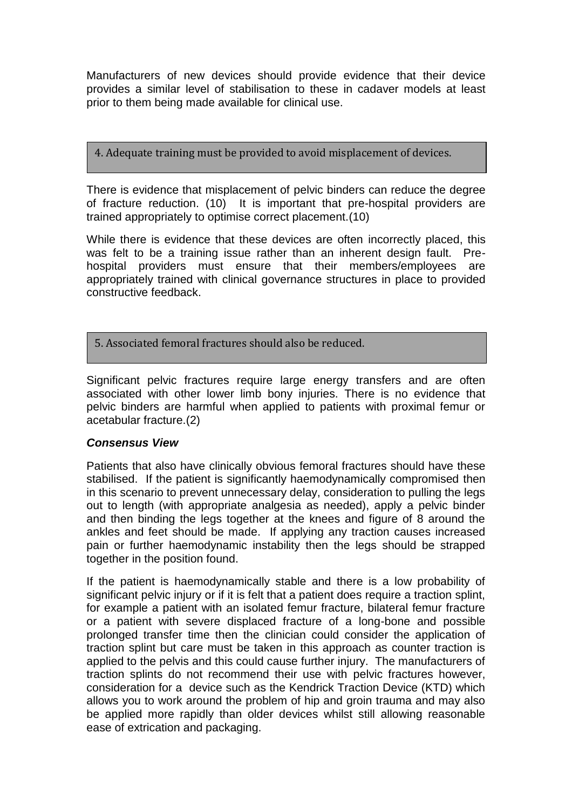Manufacturers of new devices should provide evidence that their device provides a similar level of stabilisation to these in cadaver models at least prior to them being made available for clinical use.

4. Adequate training must be provided to avoid misplacement of devices.

There is evidence that misplacement of pelvic binders can reduce the degree of fracture reduction. (10) It is important that pre-hospital providers are trained appropriately to optimise correct placement.(10)

While there is evidence that these devices are often incorrectly placed, this was felt to be a training issue rather than an inherent design fault. Prehospital providers must ensure that their members/employees are appropriately trained with clinical governance structures in place to provided constructive feedback.

5. Associated femoral fractures should also be reduced.

Significant pelvic fractures require large energy transfers and are often associated with other lower limb bony injuries. There is no evidence that pelvic binders are harmful when applied to patients with proximal femur or acetabular fracture.(2)

### *Consensus View*

Patients that also have clinically obvious femoral fractures should have these stabilised. If the patient is significantly haemodynamically compromised then in this scenario to prevent unnecessary delay, consideration to pulling the legs out to length (with appropriate analgesia as needed), apply a pelvic binder and then binding the legs together at the knees and figure of 8 around the ankles and feet should be made. If applying any traction causes increased pain or further haemodynamic instability then the legs should be strapped together in the position found.

If the patient is haemodynamically stable and there is a low probability of significant pelvic injury or if it is felt that a patient does require a traction splint, for example a patient with an isolated femur fracture, bilateral femur fracture or a patient with severe displaced fracture of a long-bone and possible prolonged transfer time then the clinician could consider the application of traction splint but care must be taken in this approach as counter traction is applied to the pelvis and this could cause further injury. The manufacturers of traction splints do not recommend their use with pelvic fractures however, consideration for a device such as the Kendrick Traction Device (KTD) which allows you to work around the problem of hip and groin trauma and may also be applied more rapidly than older devices whilst still allowing reasonable ease of extrication and packaging.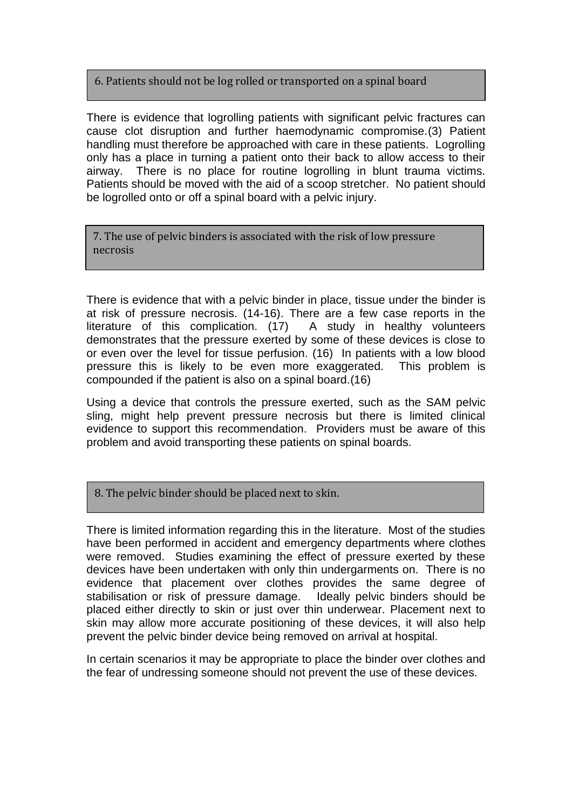### 6. Patients should not be log rolled or transported on a spinal board

There is evidence that logrolling patients with significant pelvic fractures can cause clot disruption and further haemodynamic compromise.(3) Patient handling must therefore be approached with care in these patients. Logrolling only has a place in turning a patient onto their back to allow access to their airway. There is no place for routine logrolling in blunt trauma victims. Patients should be moved with the aid of a scoop stretcher. No patient should be logrolled onto or off a spinal board with a pelvic injury.

7. The use of pelvic binders is associated with the risk of low pressure necrosis

There is evidence that with a pelvic binder in place, tissue under the binder is at risk of pressure necrosis. (14-16). There are a few case reports in the literature of this complication. (17) A study in healthy volunteers demonstrates that the pressure exerted by some of these devices is close to or even over the level for tissue perfusion. (16) In patients with a low blood pressure this is likely to be even more exaggerated. This problem is compounded if the patient is also on a spinal board.(16)

Using a device that controls the pressure exerted, such as the SAM pelvic sling, might help prevent pressure necrosis but there is limited clinical evidence to support this recommendation. Providers must be aware of this problem and avoid transporting these patients on spinal boards.

8. The pelvic binder should be placed next to skin.

There is limited information regarding this in the literature. Most of the studies have been performed in accident and emergency departments where clothes were removed. Studies examining the effect of pressure exerted by these devices have been undertaken with only thin undergarments on. There is no evidence that placement over clothes provides the same degree of stabilisation or risk of pressure damage. Ideally pelvic binders should be placed either directly to skin or just over thin underwear. Placement next to skin may allow more accurate positioning of these devices, it will also help prevent the pelvic binder device being removed on arrival at hospital.

In certain scenarios it may be appropriate to place the binder over clothes and the fear of undressing someone should not prevent the use of these devices.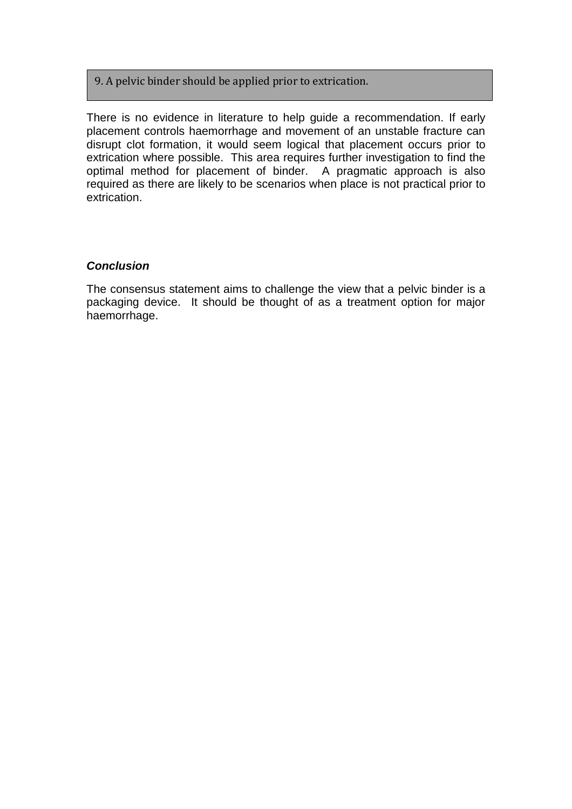### 9. A pelvic binder should be applied prior to extrication.

There is no evidence in literature to help guide a recommendation. If early placement controls haemorrhage and movement of an unstable fracture can disrupt clot formation, it would seem logical that placement occurs prior to extrication where possible. This area requires further investigation to find the optimal method for placement of binder. A pragmatic approach is also required as there are likely to be scenarios when place is not practical prior to extrication.

#### *Conclusion*

The consensus statement aims to challenge the view that a pelvic binder is a packaging device. It should be thought of as a treatment option for major haemorrhage.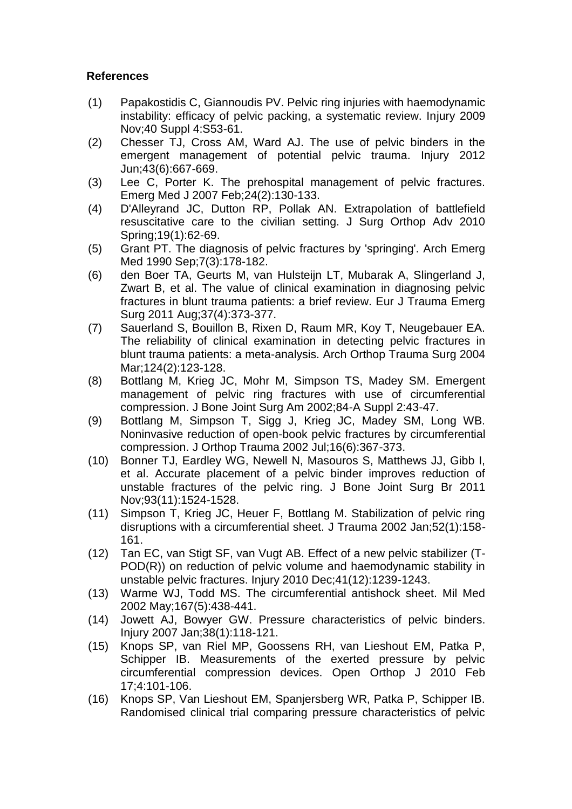## **References**

- (1) Papakostidis C, Giannoudis PV. Pelvic ring injuries with haemodynamic instability: efficacy of pelvic packing, a systematic review. Injury 2009 Nov;40 Suppl 4:S53-61.
- (2) Chesser TJ, Cross AM, Ward AJ. The use of pelvic binders in the emergent management of potential pelvic trauma. Injury 2012 Jun;43(6):667-669.
- (3) Lee C, Porter K. The prehospital management of pelvic fractures. Emerg Med J 2007 Feb;24(2):130-133.
- (4) D'Alleyrand JC, Dutton RP, Pollak AN. Extrapolation of battlefield resuscitative care to the civilian setting. J Surg Orthop Adv 2010 Spring;19(1):62-69.
- (5) Grant PT. The diagnosis of pelvic fractures by 'springing'. Arch Emerg Med 1990 Sep;7(3):178-182.
- (6) den Boer TA, Geurts M, van Hulsteijn LT, Mubarak A, Slingerland J, Zwart B, et al. The value of clinical examination in diagnosing pelvic fractures in blunt trauma patients: a brief review. Eur J Trauma Emerg Surg 2011 Aug;37(4):373-377.
- (7) Sauerland S, Bouillon B, Rixen D, Raum MR, Koy T, Neugebauer EA. The reliability of clinical examination in detecting pelvic fractures in blunt trauma patients: a meta-analysis. Arch Orthop Trauma Surg 2004 Mar;124(2):123-128.
- (8) Bottlang M, Krieg JC, Mohr M, Simpson TS, Madey SM. Emergent management of pelvic ring fractures with use of circumferential compression. J Bone Joint Surg Am 2002;84-A Suppl 2:43-47.
- (9) Bottlang M, Simpson T, Sigg J, Krieg JC, Madey SM, Long WB. Noninvasive reduction of open-book pelvic fractures by circumferential compression. J Orthop Trauma 2002 Jul;16(6):367-373.
- (10) Bonner TJ, Eardley WG, Newell N, Masouros S, Matthews JJ, Gibb I, et al. Accurate placement of a pelvic binder improves reduction of unstable fractures of the pelvic ring. J Bone Joint Surg Br 2011 Nov;93(11):1524-1528.
- (11) Simpson T, Krieg JC, Heuer F, Bottlang M. Stabilization of pelvic ring disruptions with a circumferential sheet. J Trauma 2002 Jan;52(1):158- 161.
- (12) Tan EC, van Stigt SF, van Vugt AB. Effect of a new pelvic stabilizer (T-POD(R)) on reduction of pelvic volume and haemodynamic stability in unstable pelvic fractures. Injury 2010 Dec;41(12):1239-1243.
- (13) Warme WJ, Todd MS. The circumferential antishock sheet. Mil Med 2002 May;167(5):438-441.
- (14) Jowett AJ, Bowyer GW. Pressure characteristics of pelvic binders. Injury 2007 Jan;38(1):118-121.
- (15) Knops SP, van Riel MP, Goossens RH, van Lieshout EM, Patka P, Schipper IB. Measurements of the exerted pressure by pelvic circumferential compression devices. Open Orthop J 2010 Feb 17;4:101-106.
- (16) Knops SP, Van Lieshout EM, Spanjersberg WR, Patka P, Schipper IB. Randomised clinical trial comparing pressure characteristics of pelvic